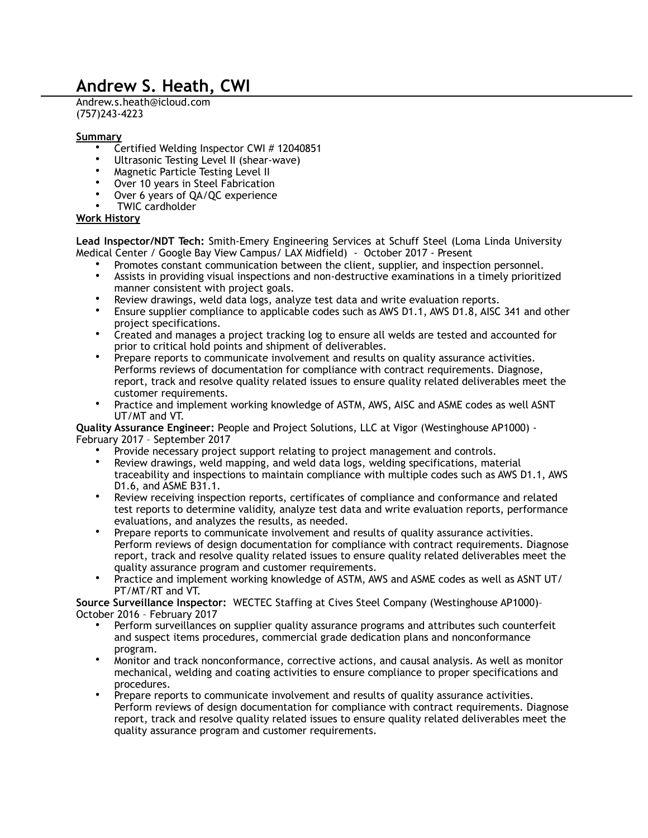## **Andrew S. Heath, CWI**

Andrew.s.heath@icloud.com (757)243-4223

## **Summary**

- Certified Welding Inspector CWI # 12040851
- Ultrasonic Testing Level II (shear-wave)
- Magnetic Particle Testing Level II
- Over 10 years in Steel Fabrication
- Over 6 years of QA/QC experience
- TWIC cardholder

## **Work History**

 **Lead Inspector/NDT Tech:** Smith-Emery Engineering Services at Schuff Steel (Loma Linda University Medical Center / Google Bay View Campus/ LAX Midfield) - October 2017 - Present

- Promotes constant communication between the client, supplier, and inspection personnel.
- Assists in providing visual inspections and non-destructive examinations in a timely prioritized manner consistent with project goals.
- Review drawings, weld data logs, analyze test data and write evaluation reports.
- Ensure supplier compliance to applicable codes such as AWS D1.1, AWS D1.8, AISC 341 and other project specifications.
- Created and manages a project tracking log to ensure all welds are tested and accounted for prior to critical hold points and shipment of deliverables.
- Prepare reports to communicate involvement and results on quality assurance activities. Performs reviews of documentation for compliance with contract requirements. Diagnose, report, track and resolve quality related issues to ensure quality related deliverables meet the customer requirements.
- Practice and implement working knowledge of ASTM, AWS, AISC and ASME codes as well ASNT UT/MT and VT.

**Quality Assurance Engineer:** People and Project Solutions, LLC at Vigor (Westinghouse AP1000) - February 2017 – September 2017

- Provide necessary project support relating to project management and controls.
- Review drawings, weld mapping, and weld data logs, welding specifications, material traceability and inspections to maintain compliance with multiple codes such as AWS D1.1, AWS D1.6, and ASME B31.1.
- Review receiving inspection reports, certificates of compliance and conformance and related test reports to determine validity, analyze test data and write evaluation reports, performance evaluations, and analyzes the results, as needed.
- Prepare reports to communicate involvement and results of quality assurance activities. Perform reviews of design documentation for compliance with contract requirements. Diagnose report, track and resolve quality related issues to ensure quality related deliverables meet the quality assurance program and customer requirements.
- Practice and implement working knowledge of ASTM, AWS and ASME codes as well as ASNT UT/ PT/MT/RT and VT.

**Source Surveillance Inspector:** WECTEC Staffing at Cives Steel Company (Westinghouse AP1000)– October 2016 – February 2017

- Perform surveillances on supplier quality assurance programs and attributes such counterfeit and suspect items procedures, commercial grade dedication plans and nonconformance program.
- Monitor and track nonconformance, corrective actions, and causal analysis. As well as monitor mechanical, welding and coating activities to ensure compliance to proper specifications and procedures.
- Prepare reports to communicate involvement and results of quality assurance activities. Perform reviews of design documentation for compliance with contract requirements. Diagnose report, track and resolve quality related issues to ensure quality related deliverables meet the quality assurance program and customer requirements.